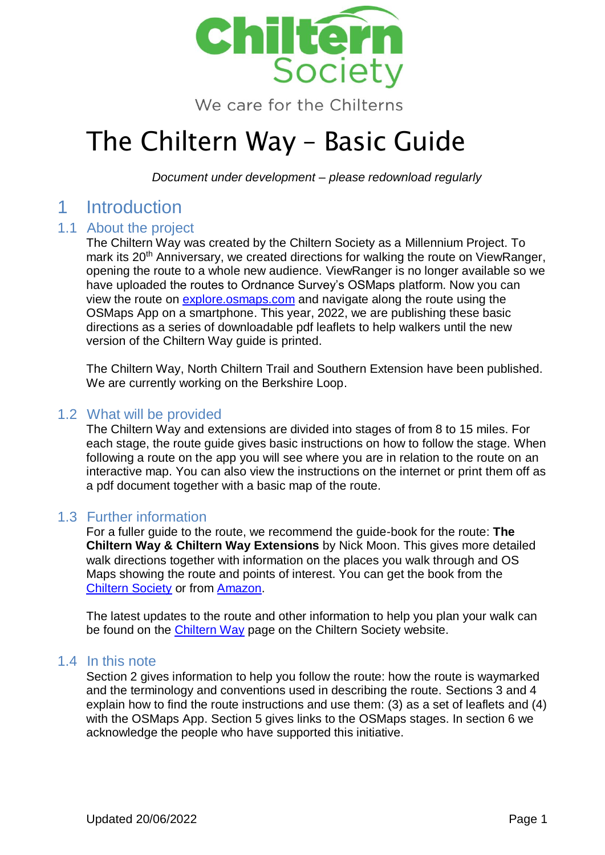

We care for the Chilterns

## The Chiltern Way – Basic Guide

*Document under development – please redownload regularly*

## 1 Introduction

#### 1.1 About the project

The Chiltern Way was created by the Chiltern Society as a Millennium Project. To mark its 20<sup>th</sup> Anniversary, we created directions for walking the route on ViewRanger, opening the route to a whole new audience. ViewRanger is no longer available so we have uploaded the routes to Ordnance Survey's OSMaps platform. Now you can view the route on [explore.osmaps.com](https://explore.osmaps.com/) and navigate along the route using the OSMaps App on a smartphone. This year, 2022, we are publishing these basic directions as a series of downloadable pdf leaflets to help walkers until the new version of the Chiltern Way guide is printed.

The Chiltern Way, North Chiltern Trail and Southern Extension have been published. We are currently working on the Berkshire Loop.

#### 1.2 What will be provided

The Chiltern Way and extensions are divided into stages of from 8 to 15 miles. For each stage, the route guide gives basic instructions on how to follow the stage. When following a route on the app you will see where you are in relation to the route on an interactive map. You can also view the instructions on the internet or print them off as a pdf document together with a basic map of the route.

#### 1.3 Further information

For a fuller guide to the route, we recommend the guide-book for the route: **The Chiltern Way & Chiltern Way Extensions** by Nick Moon. This gives more detailed walk directions together with information on the places you walk through and OS Maps showing the route and points of interest. You can get the book from the [Chiltern Society](https://chilternsociety.org.uk/product/chiltern-way-chiltern-way-extensions/) or from [Amazon.](https://www.amazon.co.uk/Chiltern-Way-Extensions-Society/dp/0904148335)

The latest updates to the route and other information to help you plan your walk can be found on the [Chiltern Way](https://chilternsociety.org.uk/the-chiltern-way/) page on the Chiltern Society website.

#### 1.4 In this note

Section 2 gives information to help you follow the route: how the route is waymarked and the terminology and conventions used in describing the route. Sections 3 and 4 explain how to find the route instructions and use them: (3) as a set of leaflets and (4) with the OSMaps App. Section 5 gives links to the OSMaps stages. In section 6 we acknowledge the people who have supported this initiative.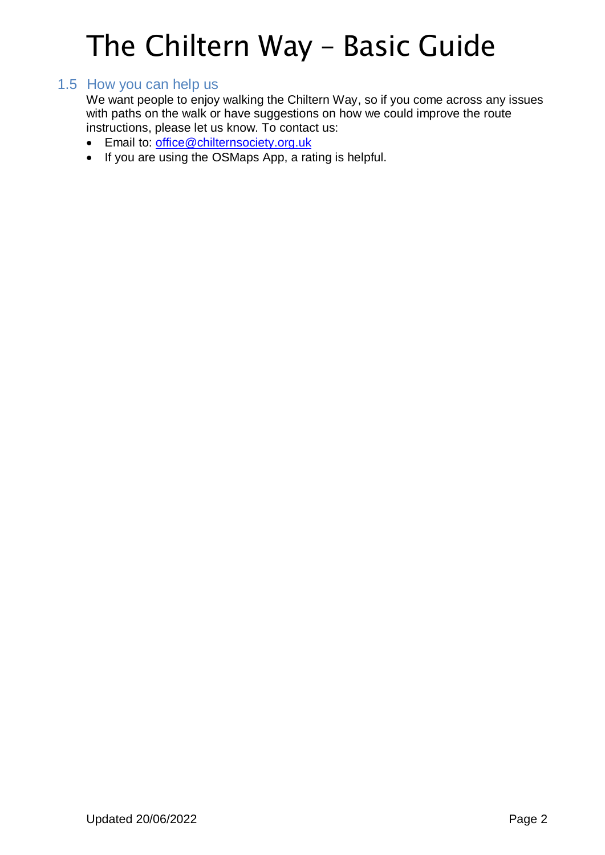### 1.5 How you can help us

We want people to enjoy walking the Chiltern Way, so if you come across any issues with paths on the walk or have suggestions on how we could improve the route instructions, please let us know. To contact us:

- **Email to:** [office@chilternsociety.org.uk](mailto:office@chilternsociety.org.uk)
- If you are using the OSMaps App, a rating is helpful.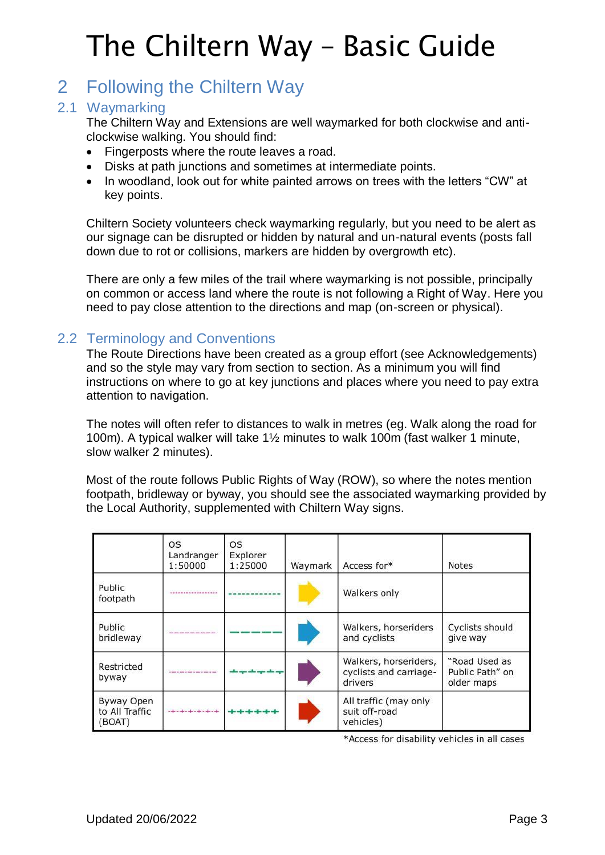## 2 Following the Chiltern Way

### 2.1 Waymarking

The Chiltern Way and Extensions are well waymarked for both clockwise and anticlockwise walking. You should find:

- Fingerposts where the route leaves a road.
- Disks at path junctions and sometimes at intermediate points.
- In woodland, look out for white painted arrows on trees with the letters "CW" at key points.

Chiltern Society volunteers check waymarking regularly, but you need to be alert as our signage can be disrupted or hidden by natural and un-natural events (posts fall down due to rot or collisions, markers are hidden by overgrowth etc).

There are only a few miles of the trail where waymarking is not possible, principally on common or access land where the route is not following a Right of Way. Here you need to pay close attention to the directions and map (on-screen or physical).

## 2.2 Terminology and Conventions

The Route Directions have been created as a group effort (see Acknowledgements) and so the style may vary from section to section. As a minimum you will find instructions on where to go at key junctions and places where you need to pay extra attention to navigation.

The notes will often refer to distances to walk in metres (eg. Walk along the road for 100m). A typical walker will take 1½ minutes to walk 100m (fast walker 1 minute, slow walker 2 minutes).

Most of the route follows Public Rights of Way (ROW), so where the notes mention footpath, bridleway or byway, you should see the associated waymarking provided by the Local Authority, supplemented with Chiltern Way signs.

|                                        | OS<br>Landranger<br>1:50000           | <b>OS</b><br>Explorer<br>1:25000 | Waymark | Access for*                                                | <b>Notes</b>                                   |
|----------------------------------------|---------------------------------------|----------------------------------|---------|------------------------------------------------------------|------------------------------------------------|
| Public<br>footpath                     |                                       |                                  |         | Walkers only                                               |                                                |
| Public<br>bridleway                    |                                       |                                  |         | Walkers, horseriders<br>and cyclists                       | Cyclists should<br>give way                    |
| Restricted<br>byway                    |                                       |                                  |         | Walkers, horseriders,<br>cyclists and carriage-<br>drivers | "Road Used as<br>Public Path" on<br>older maps |
| Byway Open<br>to All Traffic<br>(BOAT) | a sije se operanje se operanje se op- |                                  |         | All traffic (may only<br>suit off-road<br>vehicles)        |                                                |

\*Access for disability vehicles in all cases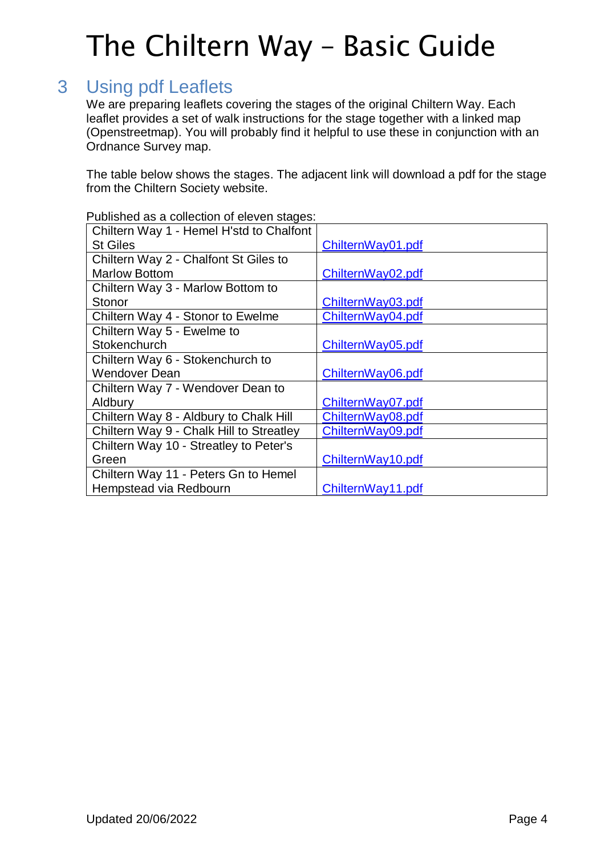## 3 Using pdf Leaflets

We are preparing leaflets covering the stages of the original Chiltern Way. Each leaflet provides a set of walk instructions for the stage together with a linked map (Openstreetmap). You will probably find it helpful to use these in conjunction with an Ordnance Survey map.

The table below shows the stages. The adjacent link will download a pdf for the stage from the Chiltern Society website.

| abilorioa do a collocach er cloven claquol |                   |
|--------------------------------------------|-------------------|
| Chiltern Way 1 - Hemel H'std to Chalfont   |                   |
| <b>St Giles</b>                            | ChilternWay01.pdf |
| Chiltern Way 2 - Chalfont St Giles to      |                   |
| <b>Marlow Bottom</b>                       | ChilternWay02.pdf |
| Chiltern Way 3 - Marlow Bottom to          |                   |
| Stonor                                     | ChilternWay03.pdf |
| Chiltern Way 4 - Stonor to Ewelme          | ChilternWay04.pdf |
| Chiltern Way 5 - Ewelme to                 |                   |
| Stokenchurch                               | ChilternWay05.pdf |
| Chiltern Way 6 - Stokenchurch to           |                   |
| <b>Wendover Dean</b>                       | ChilternWay06.pdf |
| Chiltern Way 7 - Wendover Dean to          |                   |
| Aldbury                                    | ChilternWay07.pdf |
| Chiltern Way 8 - Aldbury to Chalk Hill     | ChilternWay08.pdf |
| Chiltern Way 9 - Chalk Hill to Streatley   | ChilternWay09.pdf |
| Chiltern Way 10 - Streatley to Peter's     |                   |
| Green                                      | ChilternWay10.pdf |
| Chiltern Way 11 - Peters Gn to Hemel       |                   |
| Hempstead via Redbourn                     | ChilternWay11.pdf |

Published as a collection of eleven stages: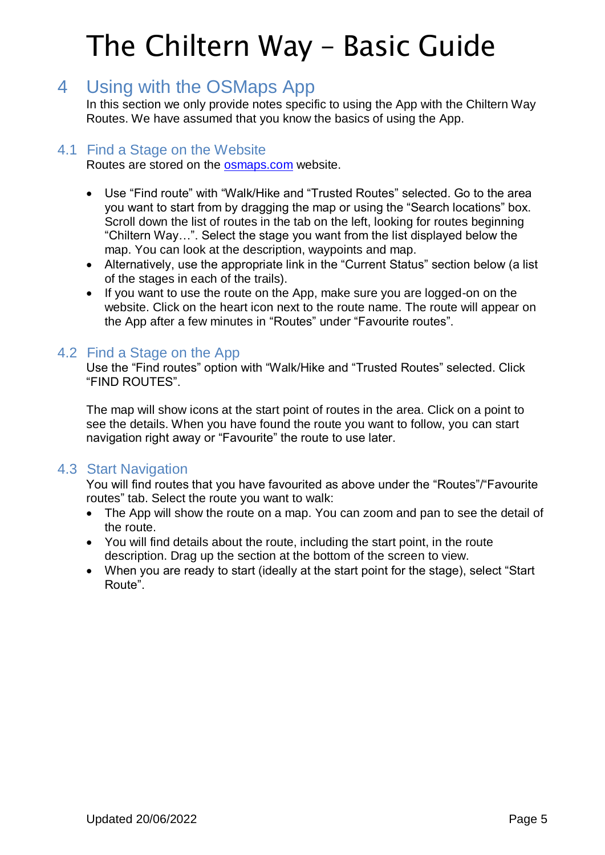## 4 Using with the OSMaps App

In this section we only provide notes specific to using the App with the Chiltern Way Routes. We have assumed that you know the basics of using the App.

### 4.1 Find a Stage on the Website

Routes are stored on the [osmaps.com](https://explore.osmaps.com/en) website.

- Use "Find route" with "Walk/Hike and "Trusted Routes" selected. Go to the area you want to start from by dragging the map or using the "Search locations" box. Scroll down the list of routes in the tab on the left, looking for routes beginning "Chiltern Way…". Select the stage you want from the list displayed below the map. You can look at the description, waypoints and map.
- Alternatively, use the appropriate link in the "Current Status" section below (a list of the stages in each of the trails).
- If you want to use the route on the App, make sure you are logged-on on the website. Click on the heart icon next to the route name. The route will appear on the App after a few minutes in "Routes" under "Favourite routes".

### 4.2 Find a Stage on the App

Use the "Find routes" option with "Walk/Hike and "Trusted Routes" selected. Click "FIND ROUTES".

The map will show icons at the start point of routes in the area. Click on a point to see the details. When you have found the route you want to follow, you can start navigation right away or "Favourite" the route to use later.

#### 4.3 Start Navigation

You will find routes that you have favourited as above under the "Routes"/"Favourite routes" tab. Select the route you want to walk:

- The App will show the route on a map. You can zoom and pan to see the detail of the route.
- You will find details about the route, including the start point, in the route description. Drag up the section at the bottom of the screen to view.
- When you are ready to start (ideally at the start point for the stage), select "Start Route".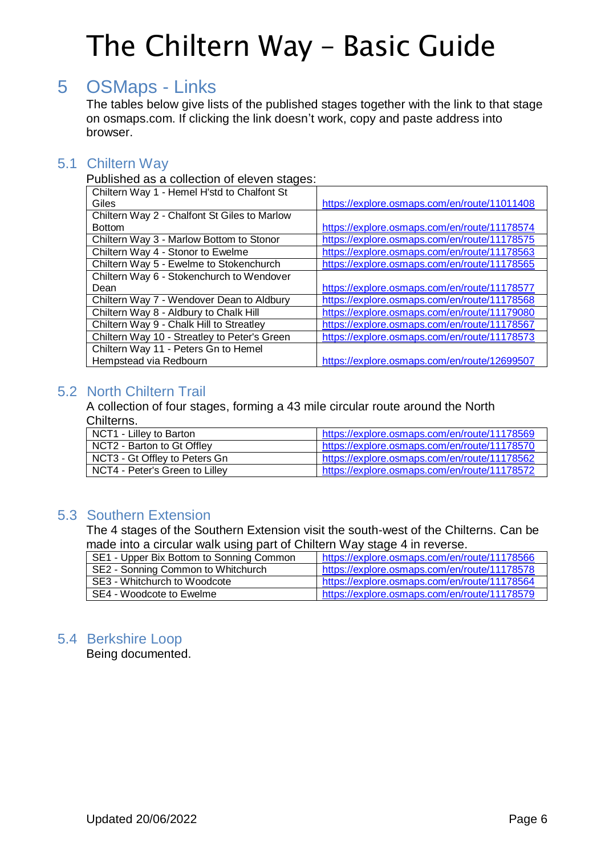## 5 OSMaps - Links

The tables below give lists of the published stages together with the link to that stage on osmaps.com. If clicking the link doesn't work, copy and paste address into browser.

### 5.1 Chiltern Way

Published as a collection of eleven stages:

| Chiltern Way 1 - Hemel H'std to Chalfont St  |                                              |
|----------------------------------------------|----------------------------------------------|
| Giles                                        | https://explore.osmaps.com/en/route/11011408 |
| Chiltern Way 2 - Chalfont St Giles to Marlow |                                              |
| <b>Bottom</b>                                | https://explore.osmaps.com/en/route/11178574 |
| Chiltern Way 3 - Marlow Bottom to Stonor     | https://explore.osmaps.com/en/route/11178575 |
| Chiltern Way 4 - Stonor to Ewelme            | https://explore.osmaps.com/en/route/11178563 |
| Chiltern Way 5 - Ewelme to Stokenchurch      | https://explore.osmaps.com/en/route/11178565 |
| Chiltern Way 6 - Stokenchurch to Wendover    |                                              |
| Dean                                         | https://explore.osmaps.com/en/route/11178577 |
| Chiltern Way 7 - Wendover Dean to Aldbury    | https://explore.osmaps.com/en/route/11178568 |
| Chiltern Way 8 - Aldbury to Chalk Hill       | https://explore.osmaps.com/en/route/11179080 |
| Chiltern Way 9 - Chalk Hill to Streatley     | https://explore.osmaps.com/en/route/11178567 |
| Chiltern Way 10 - Streatley to Peter's Green | https://explore.osmaps.com/en/route/11178573 |
| Chiltern Way 11 - Peters Gn to Hemel         |                                              |
| Hempstead via Redbourn                       | https://explore.osmaps.com/en/route/12699507 |

## 5.2 North Chiltern Trail

A collection of four stages, forming a 43 mile circular route around the North Chilterns.

| NCT1 - Lilley to Barton        | https://explore.osmaps.com/en/route/11178569 |
|--------------------------------|----------------------------------------------|
| NCT2 - Barton to Gt Offlev     | https://explore.osmaps.com/en/route/11178570 |
| NCT3 - Gt Offley to Peters Gn  | https://explore.osmaps.com/en/route/11178562 |
| NCT4 - Peter's Green to Lilley | https://explore.osmaps.com/en/route/11178572 |

## 5.3 Southern Extension

The 4 stages of the Southern Extension visit the south-west of the Chilterns. Can be made into a circular walk using part of Chiltern Way stage 4 in reverse.

| SE1 - Upper Bix Bottom to Sonning Common | https://explore.osmaps.com/en/route/11178566 |
|------------------------------------------|----------------------------------------------|
| SE2 - Sonning Common to Whitchurch       | https://explore.osmaps.com/en/route/11178578 |
| SE3 - Whitchurch to Woodcote             | https://explore.osmaps.com/en/route/11178564 |
| SE4 - Woodcote to Ewelme                 | https://explore.osmaps.com/en/route/11178579 |

## 5.4 Berkshire Loop

Being documented.